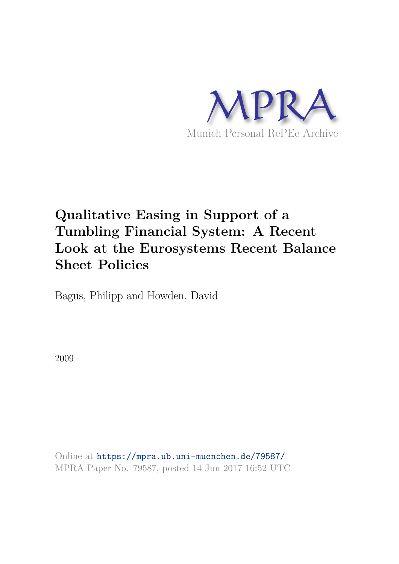

# **Qualitative Easing in Support of a Tumbling Financial System: A Recent Look at the Eurosystems Recent Balance Sheet Policies**

Bagus, Philipp and Howden, David

2009

Online at https://mpra.ub.uni-muenchen.de/79587/ MPRA Paper No. 79587, posted 14 Jun 2017 16:52 UTC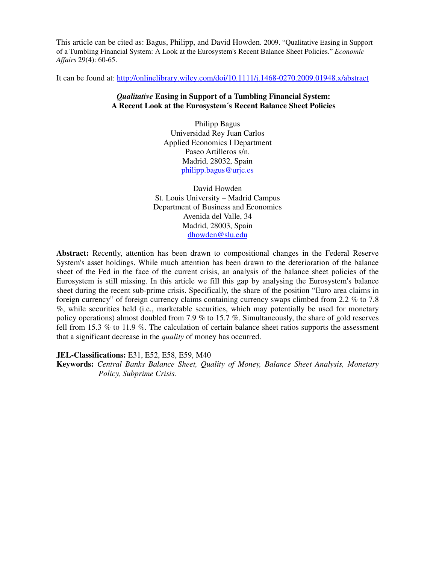This article can be cited as: Bagus, Philipp, and David Howden. 2009. "Qualitative Easing in Support of a Tumbling Financial System: A Look at the Eurosystem's Recent Balance Sheet Policies." *Economic Affairs* 29(4): 60-65.

It can be found at: http://onlinelibrary.wiley.com/doi/10.1111/j.1468-0270.2009.01948.x/abstract

# *Qualitative* **Easing in Support of a Tumbling Financial System: A Recent Look at the Eurosystem´s Recent Balance Sheet Policies**

Philipp Bagus Universidad Rey Juan Carlos Applied Economics I Department Paseo Artilleros s/n. Madrid, 28032, Spain philipp.bagus@urjc.es

David Howden St. Louis University – Madrid Campus Department of Business and Economics Avenida del Valle, 34 Madrid, 28003, Spain dhowden@slu.edu

**Abstract:** Recently, attention has been drawn to compositional changes in the Federal Reserve System's asset holdings. While much attention has been drawn to the deterioration of the balance sheet of the Fed in the face of the current crisis, an analysis of the balance sheet policies of the Eurosystem is still missing. In this article we fill this gap by analysing the Eurosystem's balance sheet during the recent sub-prime crisis. Specifically, the share of the position "Euro area claims in foreign currency" of foreign currency claims containing currency swaps climbed from 2.2 % to 7.8 %, while securities held (i.e., marketable securities, which may potentially be used for monetary policy operations) almost doubled from 7.9 % to 15.7 %. Simultaneously, the share of gold reserves fell from 15.3 % to 11.9 %. The calculation of certain balance sheet ratios supports the assessment that a significant decrease in the *quality* of money has occurred.

**JEL-Classifications:** E31, E52, E58, E59, M40

**Keywords:** *Central Banks Balance Sheet, Quality of Money, Balance Sheet Analysis, Monetary Policy, Subprime Crisis.*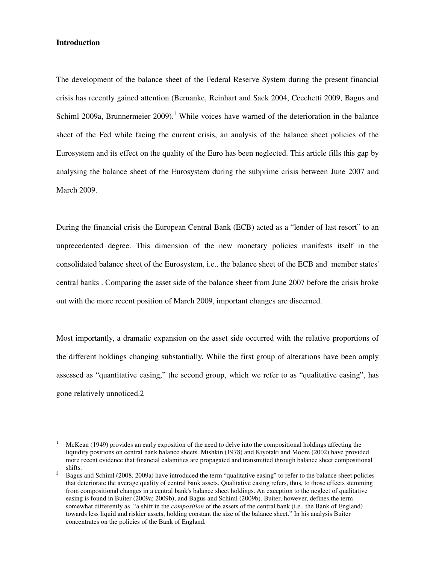# **Introduction**

 $\overline{a}$ 

The development of the balance sheet of the Federal Reserve System during the present financial crisis has recently gained attention (Bernanke, Reinhart and Sack 2004, Cecchetti 2009, Bagus and Schiml 2009a, Brunnermeier 2009).<sup>1</sup> While voices have warned of the deterioration in the balance sheet of the Fed while facing the current crisis, an analysis of the balance sheet policies of the Eurosystem and its effect on the quality of the Euro has been neglected. This article fills this gap by analysing the balance sheet of the Eurosystem during the subprime crisis between June 2007 and March 2009.

During the financial crisis the European Central Bank (ECB) acted as a "lender of last resort" to an unprecedented degree. This dimension of the new monetary policies manifests itself in the consolidated balance sheet of the Eurosystem, i.e., the balance sheet of the ECB and member states' central banks . Comparing the asset side of the balance sheet from June 2007 before the crisis broke out with the more recent position of March 2009, important changes are discerned.

Most importantly, a dramatic expansion on the asset side occurred with the relative proportions of the different holdings changing substantially. While the first group of alterations have been amply assessed as "quantitative easing," the second group, which we refer to as "qualitative easing", has gone relatively unnoticed.2

<sup>1</sup> McKean (1949) provides an early exposition of the need to delve into the compositional holdings affecting the liquidity positions on central bank balance sheets. Mishkin (1978) and Kiyotaki and Moore (2002) have provided more recent evidence that financial calamities are propagated and transmitted through balance sheet compositional shifts.

<sup>2</sup> Bagus and Schiml (2008, 2009a) have introduced the term "qualitative easing" to refer to the balance sheet policies that deteriorate the average quality of central bank assets. Qualitative easing refers, thus, to those effects stemming from compositional changes in a central bank's balance sheet holdings. An exception to the neglect of qualitative easing is found in Buiter (2009a; 2009b), and Bagus and Schiml (2009b). Buiter, however, defines the term somewhat differently as "a shift in the *composition* of the assets of the central bank (i.e., the Bank of England) towards less liquid and riskier assets, holding constant the size of the balance sheet." In his analysis Buiter concentrates on the policies of the Bank of England.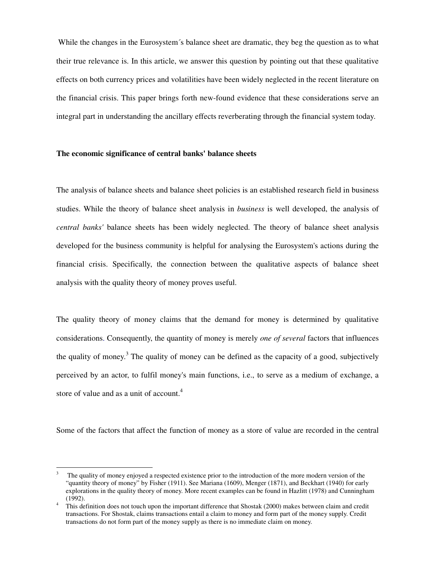While the changes in the Eurosystem´s balance sheet are dramatic, they beg the question as to what their true relevance is. In this article, we answer this question by pointing out that these qualitative effects on both currency prices and volatilities have been widely neglected in the recent literature on the financial crisis. This paper brings forth new-found evidence that these considerations serve an integral part in understanding the ancillary effects reverberating through the financial system today.

# **The economic significance of central banks' balance sheets**

The analysis of balance sheets and balance sheet policies is an established research field in business studies. While the theory of balance sheet analysis in *business* is well developed, the analysis of *central banks'* balance sheets has been widely neglected. The theory of balance sheet analysis developed for the business community is helpful for analysing the Eurosystem's actions during the financial crisis. Specifically, the connection between the qualitative aspects of balance sheet analysis with the quality theory of money proves useful.

The quality theory of money claims that the demand for money is determined by qualitative considerations. Consequently, the quantity of money is merely *one of several* factors that influences the quality of money.<sup>3</sup> The quality of money can be defined as the capacity of a good, subjectively perceived by an actor, to fulfil money's main functions, i.e., to serve as a medium of exchange, a store of value and as a unit of account.<sup>4</sup>

Some of the factors that affect the function of money as a store of value are recorded in the central

 $\overline{a}$ 

<sup>3</sup> The quality of money enjoyed a respected existence prior to the introduction of the more modern version of the "quantity theory of money" by Fisher (1911). See Mariana (1609), Menger (1871), and Beckhart (1940) for early explorations in the quality theory of money. More recent examples can be found in Hazlitt (1978) and Cunningham (1992).

<sup>4</sup> This definition does not touch upon the important difference that Shostak (2000) makes between claim and credit transactions. For Shostak, claims transactions entail a claim to money and form part of the money supply. Credit transactions do not form part of the money supply as there is no immediate claim on money.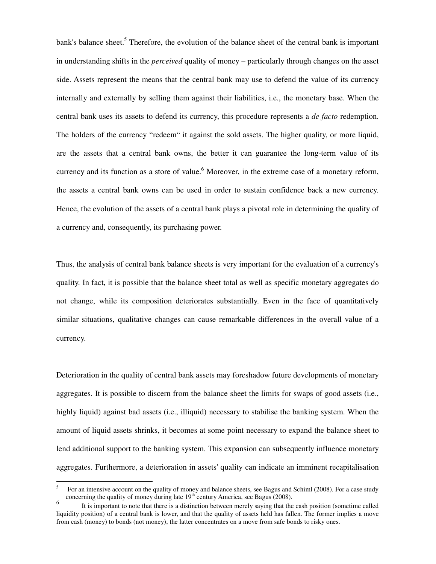bank's balance sheet.<sup>5</sup> Therefore, the evolution of the balance sheet of the central bank is important in understanding shifts in the *perceived* quality of money – particularly through changes on the asset side. Assets represent the means that the central bank may use to defend the value of its currency internally and externally by selling them against their liabilities, i.e., the monetary base. When the central bank uses its assets to defend its currency, this procedure represents a *de facto* redemption. The holders of the currency "redeem" it against the sold assets. The higher quality, or more liquid, are the assets that a central bank owns, the better it can guarantee the long-term value of its currency and its function as a store of value.<sup>6</sup> Moreover, in the extreme case of a monetary reform, the assets a central bank owns can be used in order to sustain confidence back a new currency. Hence, the evolution of the assets of a central bank plays a pivotal role in determining the quality of a currency and, consequently, its purchasing power.

Thus, the analysis of central bank balance sheets is very important for the evaluation of a currency's quality. In fact, it is possible that the balance sheet total as well as specific monetary aggregates do not change, while its composition deteriorates substantially. Even in the face of quantitatively similar situations, qualitative changes can cause remarkable differences in the overall value of a currency.

Deterioration in the quality of central bank assets may foreshadow future developments of monetary aggregates. It is possible to discern from the balance sheet the limits for swaps of good assets (i.e., highly liquid) against bad assets (i.e., illiquid) necessary to stabilise the banking system. When the amount of liquid assets shrinks, it becomes at some point necessary to expand the balance sheet to lend additional support to the banking system. This expansion can subsequently influence monetary aggregates. Furthermore, a deterioration in assets' quality can indicate an imminent recapitalisation

 $\overline{a}$ 

<sup>5</sup> For an intensive account on the quality of money and balance sheets, see Bagus and Schiml (2008). For a case study concerning the quality of money during late 19<sup>th</sup> century America, see Bagus (2008).

<sup>6</sup> It is important to note that there is a distinction between merely saying that the cash position (sometime called liquidity position) of a central bank is lower, and that the quality of assets held has fallen. The former implies a move from cash (money) to bonds (not money), the latter concentrates on a move from safe bonds to risky ones.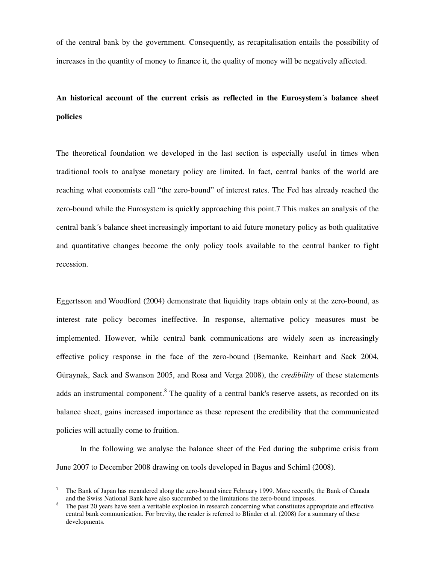of the central bank by the government. Consequently, as recapitalisation entails the possibility of increases in the quantity of money to finance it, the quality of money will be negatively affected.

# **An historical account of the current crisis as reflected in the Eurosystem´s balance sheet policies**

The theoretical foundation we developed in the last section is especially useful in times when traditional tools to analyse monetary policy are limited. In fact, central banks of the world are reaching what economists call "the zero-bound" of interest rates. The Fed has already reached the zero-bound while the Eurosystem is quickly approaching this point.7 This makes an analysis of the central bank´s balance sheet increasingly important to aid future monetary policy as both qualitative and quantitative changes become the only policy tools available to the central banker to fight recession.

Eggertsson and Woodford (2004) demonstrate that liquidity traps obtain only at the zero-bound, as interest rate policy becomes ineffective. In response, alternative policy measures must be implemented. However, while central bank communications are widely seen as increasingly effective policy response in the face of the zero-bound (Bernanke, Reinhart and Sack 2004, Güraynak, Sack and Swanson 2005, and Rosa and Verga 2008), the *credibility* of these statements adds an instrumental component.<sup>8</sup> The quality of a central bank's reserve assets, as recorded on its balance sheet, gains increased importance as these represent the credibility that the communicated policies will actually come to fruition.

 In the following we analyse the balance sheet of the Fed during the subprime crisis from June 2007 to December 2008 drawing on tools developed in Bagus and Schiml (2008).

 $\overline{a}$ 

<sup>7</sup> The Bank of Japan has meandered along the zero-bound since February 1999. More recently, the Bank of Canada and the Swiss National Bank have also succumbed to the limitations the zero-bound imposes.

<sup>8</sup> The past 20 years have seen a veritable explosion in research concerning what constitutes appropriate and effective central bank communication. For brevity, the reader is referred to Blinder et al. (2008) for a summary of these developments.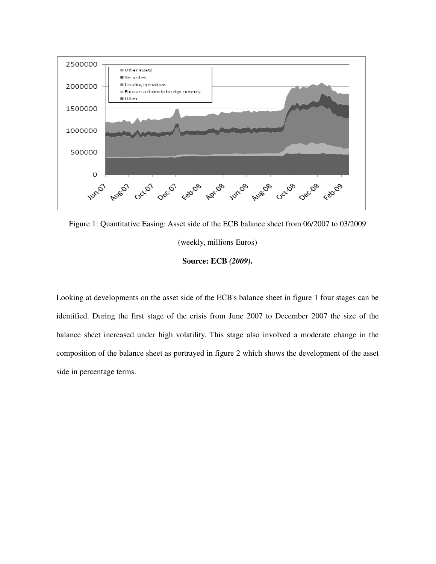

Figure 1: Quantitative Easing: Asset side of the ECB balance sheet from 06/2007 to 03/2009

(weekly, millions Euros)

**Source: ECB** *(2009)***.** 

Looking at developments on the asset side of the ECB's balance sheet in figure 1 four stages can be identified. During the first stage of the crisis from June 2007 to December 2007 the size of the balance sheet increased under high volatility. This stage also involved a moderate change in the composition of the balance sheet as portrayed in figure 2 which shows the development of the asset side in percentage terms.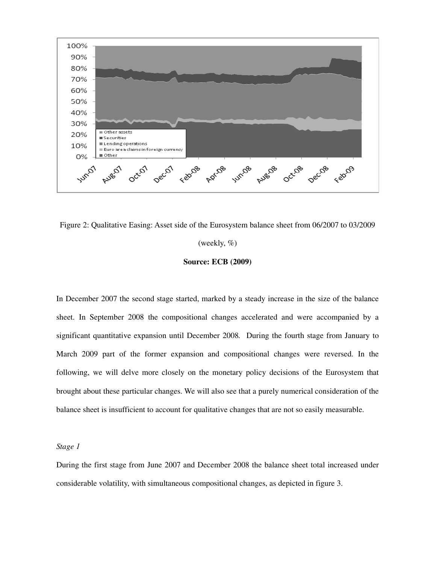

Figure 2: Qualitative Easing: Asset side of the Eurosystem balance sheet from 06/2007 to 03/2009

#### (weekly,  $\%$ )

### **Source: ECB (2009)**

In December 2007 the second stage started, marked by a steady increase in the size of the balance sheet. In September 2008 the compositional changes accelerated and were accompanied by a significant quantitative expansion until December 2008*.* During the fourth stage from January to March 2009 part of the former expansion and compositional changes were reversed. In the following, we will delve more closely on the monetary policy decisions of the Eurosystem that brought about these particular changes. We will also see that a purely numerical consideration of the balance sheet is insufficient to account for qualitative changes that are not so easily measurable.

# *Stage 1*

During the first stage from June 2007 and December 2008 the balance sheet total increased under considerable volatility, with simultaneous compositional changes, as depicted in figure 3.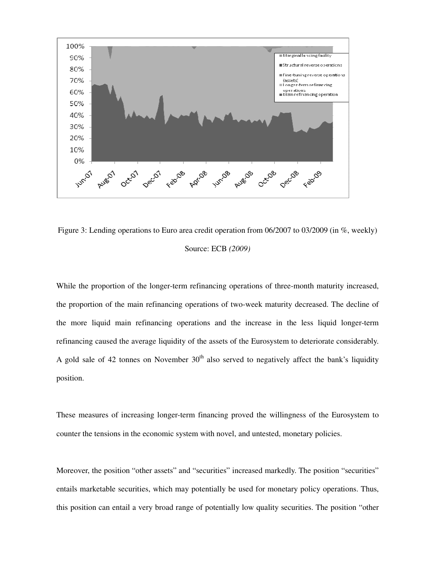

Figure 3: Lending operations to Euro area credit operation from 06/2007 to 03/2009 (in %, weekly) Source: ECB *(2009)* 

While the proportion of the longer-term refinancing operations of three-month maturity increased, the proportion of the main refinancing operations of two-week maturity decreased. The decline of the more liquid main refinancing operations and the increase in the less liquid longer-term refinancing caused the average liquidity of the assets of the Eurosystem to deteriorate considerably. A gold sale of 42 tonnes on November  $30<sup>th</sup>$  also served to negatively affect the bank's liquidity position.

These measures of increasing longer-term financing proved the willingness of the Eurosystem to counter the tensions in the economic system with novel, and untested, monetary policies.

Moreover, the position "other assets" and "securities" increased markedly. The position "securities" entails marketable securities, which may potentially be used for monetary policy operations. Thus, this position can entail a very broad range of potentially low quality securities. The position "other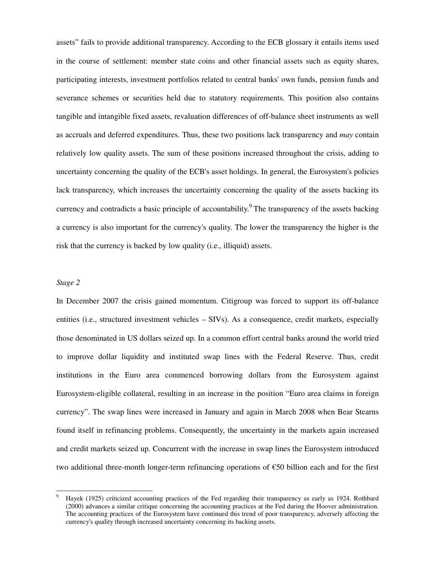assets" fails to provide additional transparency. According to the ECB glossary it entails items used in the course of settlement: member state coins and other financial assets such as equity shares, participating interests, investment portfolios related to central banks' own funds, pension funds and severance schemes or securities held due to statutory requirements. This position also contains tangible and intangible fixed assets, revaluation differences of off-balance sheet instruments as well as accruals and deferred expenditures. Thus, these two positions lack transparency and *may* contain relatively low quality assets. The sum of these positions increased throughout the crisis, adding to uncertainty concerning the quality of the ECB's asset holdings. In general, the Eurosystem's policies lack transparency, which increases the uncertainty concerning the quality of the assets backing its currency and contradicts a basic principle of accountability.<sup>9</sup> The transparency of the assets backing a currency is also important for the currency's quality. The lower the transparency the higher is the risk that the currency is backed by low quality (i.e., illiquid) assets.

#### *Stage 2*

 $\overline{a}$ 

In December 2007 the crisis gained momentum. Citigroup was forced to support its off-balance entities (i.e., structured investment vehicles – SIVs). As a consequence, credit markets, especially those denominated in US dollars seized up. In a common effort central banks around the world tried to improve dollar liquidity and instituted swap lines with the Federal Reserve. Thus, credit institutions in the Euro area commenced borrowing dollars from the Eurosystem against Eurosystem-eligible collateral, resulting in an increase in the position "Euro area claims in foreign currency". The swap lines were increased in January and again in March 2008 when Bear Stearns found itself in refinancing problems. Consequently, the uncertainty in the markets again increased and credit markets seized up. Concurrent with the increase in swap lines the Eurosystem introduced two additional three-month longer-term refinancing operations of €50 billion each and for the first

<sup>9</sup> Hayek (1925) criticized accounting practices of the Fed regarding their transparency as early as 1924. Rothbard (2000) advances a similar critique concerning the accounting practices at the Fed during the Hoover administration. The accounting practices of the Eurosystem have continued this trend of poor transparency, adversely affecting the currency's quality through increased uncertainty concerning its backing assets.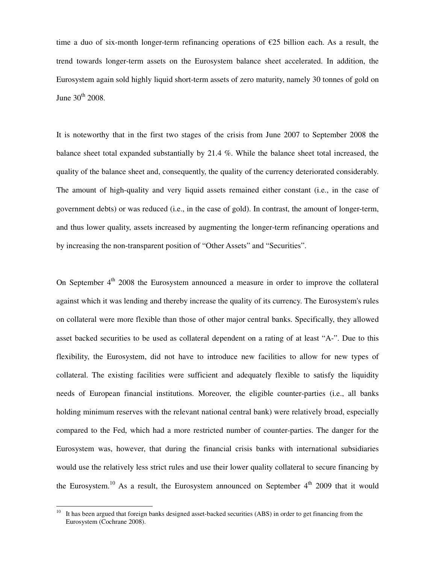time a duo of six-month longer-term refinancing operations of  $\epsilon$ 25 billion each. As a result, the trend towards longer-term assets on the Eurosystem balance sheet accelerated. In addition, the Eurosystem again sold highly liquid short-term assets of zero maturity, namely 30 tonnes of gold on June 30<sup>th</sup> 2008.

It is noteworthy that in the first two stages of the crisis from June 2007 to September 2008 the balance sheet total expanded substantially by 21.4 %. While the balance sheet total increased, the quality of the balance sheet and, consequently, the quality of the currency deteriorated considerably. The amount of high-quality and very liquid assets remained either constant (i.e., in the case of government debts) or was reduced (i.e., in the case of gold). In contrast, the amount of longer-term, and thus lower quality, assets increased by augmenting the longer-term refinancing operations and by increasing the non-transparent position of "Other Assets" and "Securities".

On September  $4<sup>th</sup>$  2008 the Eurosystem announced a measure in order to improve the collateral against which it was lending and thereby increase the quality of its currency. The Eurosystem's rules on collateral were more flexible than those of other major central banks. Specifically, they allowed asset backed securities to be used as collateral dependent on a rating of at least "A-". Due to this flexibility, the Eurosystem, did not have to introduce new facilities to allow for new types of collateral. The existing facilities were sufficient and adequately flexible to satisfy the liquidity needs of European financial institutions. Moreover, the eligible counter-parties (i.e., all banks holding minimum reserves with the relevant national central bank) were relatively broad, especially compared to the Fed, which had a more restricted number of counter-parties. The danger for the Eurosystem was, however, that during the financial crisis banks with international subsidiaries would use the relatively less strict rules and use their lower quality collateral to secure financing by the Eurosystem.<sup>10</sup> As a result, the Eurosystem announced on September  $4<sup>th</sup>$  2009 that it would

l

It has been argued that foreign banks designed asset-backed securities (ABS) in order to get financing from the Eurosystem (Cochrane 2008).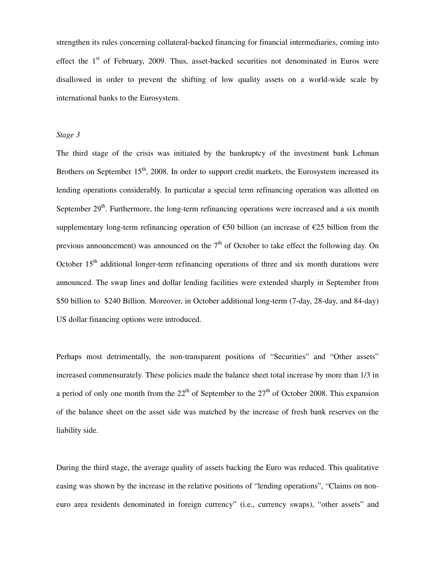strengthen its rules concerning collateral-backed financing for financial intermediaries, coming into effect the  $1<sup>st</sup>$  of February, 2009. Thus, asset-backed securities not denominated in Euros were disallowed in order to prevent the shifting of low quality assets on a world-wide scale by international banks to the Eurosystem.

## *Stage 3*

The third stage of the crisis was initiated by the bankruptcy of the investment bank Lehman Brothers on September  $15<sup>th</sup>$ , 2008. In order to support credit markets, the Eurosystem increased its lending operations considerably. In particular a special term refinancing operation was allotted on September  $29<sup>th</sup>$ . Furthermore, the long-term refinancing operations were increased and a six month supplementary long-term refinancing operation of €50 billion (an increase of €25 billion from the previous announcement) was announced on the  $7<sup>th</sup>$  of October to take effect the following day. On October  $15<sup>th</sup>$  additional longer-term refinancing operations of three and six month durations were announced. The swap lines and dollar lending facilities were extended sharply in September from \$50 billion to \$240 Billion. Moreover, in October additional long-term (7-day, 28-day, and 84-day) US dollar financing options were introduced.

Perhaps most detrimentally, the non-transparent positions of "Securities" and "Other assets" increased commensurately. These policies made the balance sheet total increase by more than 1/3 in a period of only one month from the  $22<sup>th</sup>$  of September to the  $27<sup>th</sup>$  of October 2008. This expansion of the balance sheet on the asset side was matched by the increase of fresh bank reserves on the liability side.

During the third stage, the average quality of assets backing the Euro was reduced. This qualitative easing was shown by the increase in the relative positions of "lending operations", "Claims on noneuro area residents denominated in foreign currency" (i.e., currency swaps), "other assets" and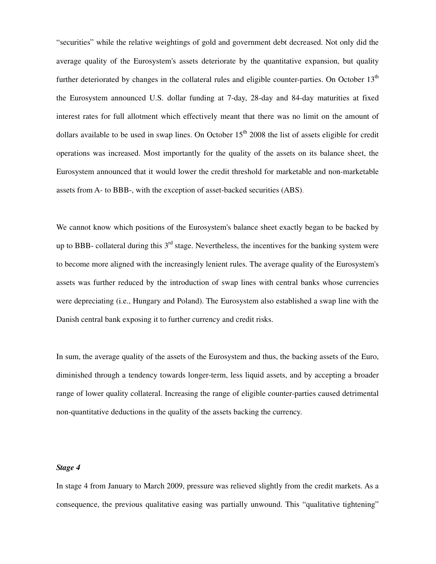"securities" while the relative weightings of gold and government debt decreased. Not only did the average quality of the Eurosystem's assets deteriorate by the quantitative expansion, but quality further deteriorated by changes in the collateral rules and eligible counter-parties. On October 13<sup>th</sup> the Eurosystem announced U.S. dollar funding at 7-day, 28-day and 84-day maturities at fixed interest rates for full allotment which effectively meant that there was no limit on the amount of dollars available to be used in swap lines. On October  $15<sup>th</sup>$  2008 the list of assets eligible for credit operations was increased. Most importantly for the quality of the assets on its balance sheet, the Eurosystem announced that it would lower the credit threshold for marketable and non-marketable assets from A- to BBB-, with the exception of asset-backed securities (ABS).

We cannot know which positions of the Eurosystem's balance sheet exactly began to be backed by up to BBB- collateral during this  $3<sup>rd</sup>$  stage. Nevertheless, the incentives for the banking system were to become more aligned with the increasingly lenient rules. The average quality of the Eurosystem's assets was further reduced by the introduction of swap lines with central banks whose currencies were depreciating (i.e., Hungary and Poland). The Eurosystem also established a swap line with the Danish central bank exposing it to further currency and credit risks.

In sum, the average quality of the assets of the Eurosystem and thus, the backing assets of the Euro, diminished through a tendency towards longer-term, less liquid assets, and by accepting a broader range of lower quality collateral. Increasing the range of eligible counter-parties caused detrimental non-quantitative deductions in the quality of the assets backing the currency.

### *Stage 4*

In stage 4 from January to March 2009, pressure was relieved slightly from the credit markets. As a consequence, the previous qualitative easing was partially unwound. This "qualitative tightening"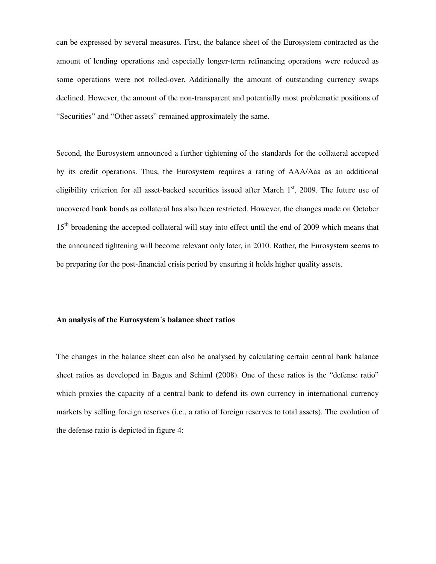can be expressed by several measures. First, the balance sheet of the Eurosystem contracted as the amount of lending operations and especially longer-term refinancing operations were reduced as some operations were not rolled-over. Additionally the amount of outstanding currency swaps declined. However, the amount of the non-transparent and potentially most problematic positions of "Securities" and "Other assets" remained approximately the same.

Second, the Eurosystem announced a further tightening of the standards for the collateral accepted by its credit operations. Thus, the Eurosystem requires a rating of AAA/Aaa as an additional eligibility criterion for all asset-backed securities issued after March  $1<sup>st</sup>$ , 2009. The future use of uncovered bank bonds as collateral has also been restricted. However, the changes made on October 15<sup>th</sup> broadening the accepted collateral will stay into effect until the end of 2009 which means that the announced tightening will become relevant only later, in 2010. Rather, the Eurosystem seems to be preparing for the post-financial crisis period by ensuring it holds higher quality assets.

#### **An analysis of the Eurosystem´s balance sheet ratios**

The changes in the balance sheet can also be analysed by calculating certain central bank balance sheet ratios as developed in Bagus and Schiml (2008). One of these ratios is the "defense ratio" which proxies the capacity of a central bank to defend its own currency in international currency markets by selling foreign reserves (i.e., a ratio of foreign reserves to total assets). The evolution of the defense ratio is depicted in figure 4: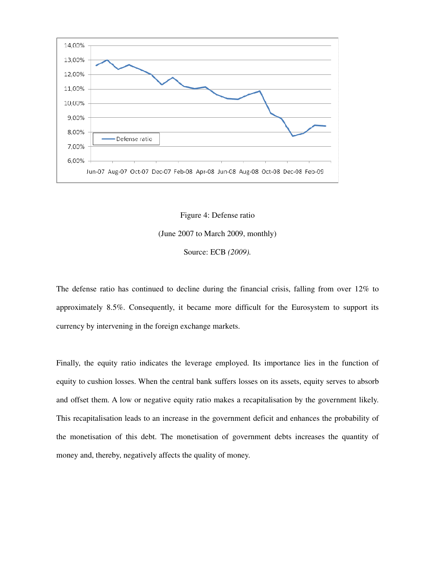



The defense ratio has continued to decline during the financial crisis, falling from over 12% to approximately 8.5%. Consequently, it became more difficult for the Eurosystem to support its currency by intervening in the foreign exchange markets.

Finally, the equity ratio indicates the leverage employed. Its importance lies in the function of equity to cushion losses. When the central bank suffers losses on its assets, equity serves to absorb and offset them. A low or negative equity ratio makes a recapitalisation by the government likely. This recapitalisation leads to an increase in the government deficit and enhances the probability of the monetisation of this debt. The monetisation of government debts increases the quantity of money and, thereby, negatively affects the quality of money.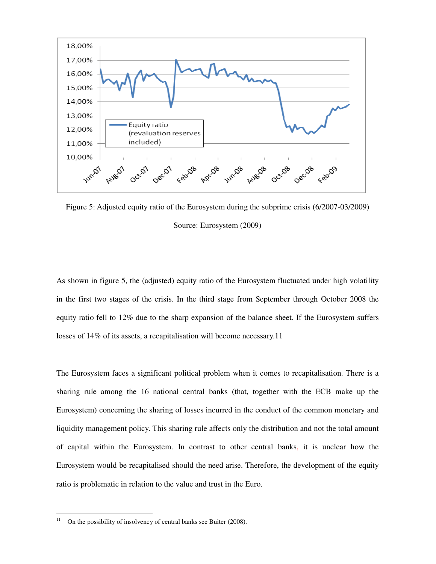

Figure 5: Adjusted equity ratio of the Eurosystem during the subprime crisis (6/2007-03/2009) Source: Eurosystem (2009)

As shown in figure 5, the (adjusted) equity ratio of the Eurosystem fluctuated under high volatility in the first two stages of the crisis. In the third stage from September through October 2008 the equity ratio fell to 12% due to the sharp expansion of the balance sheet. If the Eurosystem suffers losses of 14% of its assets, a recapitalisation will become necessary.11

The Eurosystem faces a significant political problem when it comes to recapitalisation. There is a sharing rule among the 16 national central banks (that, together with the ECB make up the Eurosystem) concerning the sharing of losses incurred in the conduct of the common monetary and liquidity management policy. This sharing rule affects only the distribution and not the total amount of capital within the Eurosystem. In contrast to other central banks, it is unclear how the Eurosystem would be recapitalised should the need arise. Therefore, the development of the equity ratio is problematic in relation to the value and trust in the Euro.

 $11\,$ On the possibility of insolvency of central banks see Buiter (2008).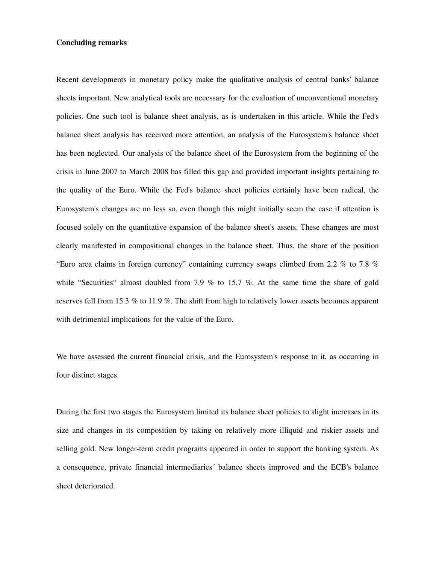#### **Concluding remarks**

Recent developments in monetary policy make the qualitative analysis of central banks' balance sheets important. New analytical tools are necessary for the evaluation of unconventional monetary policies. One such tool is balance sheet analysis, as is undertaken in this article. While the Fed's balance sheet analysis has received more attention, an analysis of the Eurosystem's balance sheet has been neglected. Our analysis of the balance sheet of the Eurosystem from the beginning of the crisis in June 2007 to March 2008 has filled this gap and provided important insights pertaining to the quality of the Euro. While the Fed's balance sheet policies certainly have been radical, the Eurosystem's changes are no less so, even though this might initially seem the case if attention is focused solely on the quantitative expansion of the balance sheet's assets. These changes are most clearly manifested in compositional changes in the balance sheet. Thus, the share of the position "Euro area claims in foreign currency" containing currency swaps climbed from 2.2 % to 7.8 % while "Securities" almost doubled from 7.9 % to 15.7 %. At the same time the share of gold reserves fell from 15.3 % to 11.9 %. The shift from high to relatively lower assets becomes apparent with detrimental implications for the value of the Euro.

We have assessed the current financial crisis, and the Eurosystem's response to it, as occurring in four distinct stages.

During the first two stages the Eurosystem limited its balance sheet policies to slight increases in its size and changes in its composition by taking on relatively more illiquid and riskier assets and selling gold. New longer-term credit programs appeared in order to support the banking system. As a consequence, private financial intermediaries´ balance sheets improved and the ECB's balance sheet deteriorated.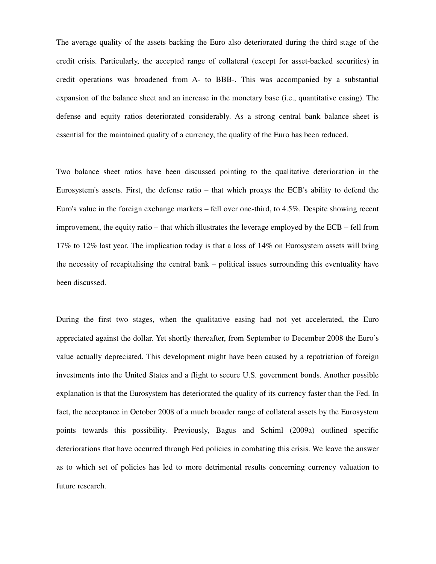The average quality of the assets backing the Euro also deteriorated during the third stage of the credit crisis. Particularly, the accepted range of collateral (except for asset-backed securities) in credit operations was broadened from A- to BBB-. This was accompanied by a substantial expansion of the balance sheet and an increase in the monetary base (i.e., quantitative easing). The defense and equity ratios deteriorated considerably. As a strong central bank balance sheet is essential for the maintained quality of a currency, the quality of the Euro has been reduced.

Two balance sheet ratios have been discussed pointing to the qualitative deterioration in the Eurosystem's assets. First, the defense ratio – that which proxys the ECB's ability to defend the Euro's value in the foreign exchange markets – fell over one-third, to 4.5%. Despite showing recent improvement, the equity ratio – that which illustrates the leverage employed by the ECB – fell from 17% to 12% last year. The implication today is that a loss of 14% on Eurosystem assets will bring the necessity of recapitalising the central bank – political issues surrounding this eventuality have been discussed.

During the first two stages, when the qualitative easing had not yet accelerated, the Euro appreciated against the dollar. Yet shortly thereafter, from September to December 2008 the Euro's value actually depreciated. This development might have been caused by a repatriation of foreign investments into the United States and a flight to secure U.S. government bonds. Another possible explanation is that the Eurosystem has deteriorated the quality of its currency faster than the Fed. In fact, the acceptance in October 2008 of a much broader range of collateral assets by the Eurosystem points towards this possibility. Previously, Bagus and Schiml (2009a) outlined specific deteriorations that have occurred through Fed policies in combating this crisis. We leave the answer as to which set of policies has led to more detrimental results concerning currency valuation to future research.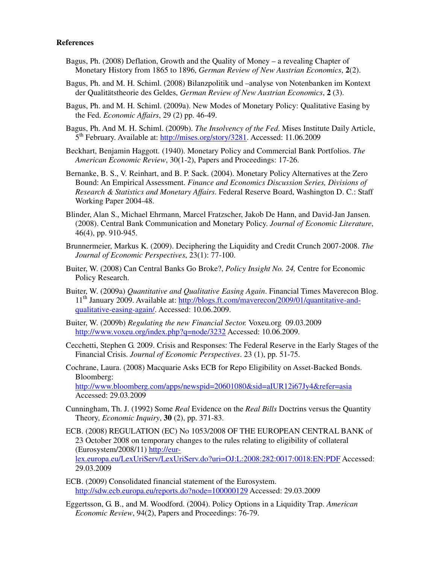# **References**

- Bagus, Ph. (2008) Deflation, Growth and the Quality of Money a revealing Chapter of Monetary History from 1865 to 1896, *German Review of New Austrian Economics*, **2**(2).
- Bagus, Ph. and M. H. Schiml. (2008) Bilanzpolitik und –analyse von Notenbanken im Kontext der Qualitätstheorie des Geldes, *German Review of New Austrian Economics*, **2** (3).
- Bagus, Ph. and M. H. Schiml. (2009a). New Modes of Monetary Policy: Qualitative Easing by the Fed. *Economic Affairs*, 29 (2) pp. 46-49.
- Bagus, Ph. And M. H. Schiml. (2009b). *The Insolvency of the Fed*. Mises Institute Daily Article, 5<sup>th</sup> February. Available at: http://mises.org/story/3281. Accessed: 11.06.2009
- Beckhart, Benjamin Haggott. (1940). Monetary Policy and Commercial Bank Portfolios. *The American Economic Review*, 30(1-2), Papers and Proceedings: 17-26.
- Bernanke, B. S., V. Reinhart, and B. P. Sack. (2004). Monetary Policy Alternatives at the Zero Bound: An Empirical Assessment. *Finance and Economics Discussion Series, Divisions of Research & Statistics and Monetary Affairs*. Federal Reserve Board, Washington D. C.: Staff Working Paper 2004-48.
- Blinder, Alan S., Michael Ehrmann, Marcel Fratzscher, Jakob De Hann, and David-Jan Jansen. (2008). Central Bank Communication and Monetary Policy. *Journal of Economic Literature*, 46(4), pp. 910-945.
- Brunnermeier, Markus K. (2009). Deciphering the Liquidity and Credit Crunch 2007-2008. *The Journal of Economic Perspectives*, 23(1): 77-100.
- Buiter, W. (2008) Can Central Banks Go Broke?, *Policy Insight No. 24,* Centre for Economic Policy Research.
- Buiter, W. (2009a) *Quantitative and Qualitative Easing Again*. Financial Times Maverecon Blog. 11<sup>th</sup> January 2009. Available at: http://blogs.ft.com/maverecon/2009/01/quantitative-andqualitative-easing-again/. Accessed: 10.06.2009.
- Buiter, W. (2009b) *Regulating the new Financial Sector.* Voxeu.org 09.03.2009 http://www.voxeu.org/index.php?q=node/3232 Accessed: 10.06.2009.
- Cecchetti, Stephen G. 2009. Crisis and Responses: The Federal Reserve in the Early Stages of the Financial Crisis. *Journal of Economic Perspectives*. 23 (1), pp. 51-75.
- Cochrane, Laura. (2008) Macquarie Asks ECB for Repo Eligibility on Asset-Backed Bonds. Bloomberg:

http://www.bloomberg.com/apps/newspid=20601080&sid=aIUR12i67Jy4&refer=asia Accessed: 29.03.2009

- Cunningham, Th. J. (1992) Some *Real* Evidence on the *Real Bills* Doctrins versus the Quantity Theory, *Economic Inquiry*, **30** (2), pp. 371-83.
- ECB. (2008) REGULATION (EC) No 1053/2008 OF THE EUROPEAN CENTRAL BANK of 23 October 2008 on temporary changes to the rules relating to eligibility of collateral (Eurosystem/2008/11) http://eur-

lex.europa.eu/LexUriServ/LexUriServ.do?uri=OJ:L:2008:282:0017:0018:EN:PDF Accessed: 29.03.2009

- ECB. (2009) Consolidated financial statement of the Eurosystem. http://sdw.ecb.europa.eu/reports.do?node=100000129 Accessed: 29.03.2009
- Eggertsson, G. B., and M. Woodford. (2004). Policy Options in a Liquidity Trap. *American Economic Review*, 94(2), Papers and Proceedings: 76-79.